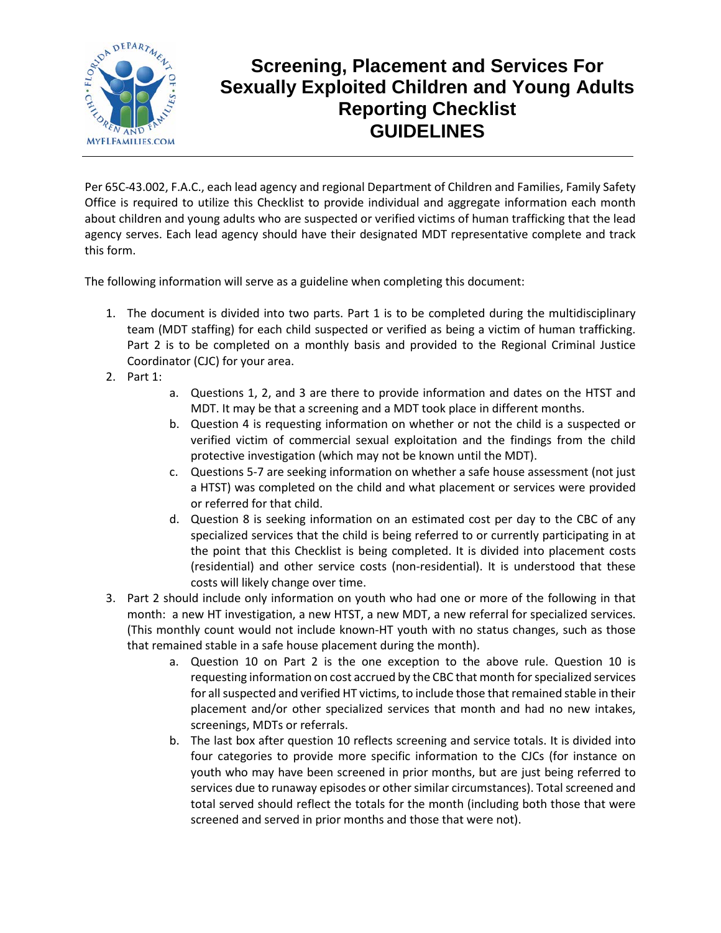

## **Screening, Placement and Services For Sexually Exploited Children and Young Adults Reporting Checklist GUIDELINES**

Per 65C-43.002, F.A.C., each lead agency and regional Department of Children and Families, Family Safety Office is required to utilize this Checklist to provide individual and aggregate information each month about children and young adults who are suspected or verified victims of human trafficking that the lead agency serves. Each lead agency should have their designated MDT representative complete and track this form.

The following information will serve as a guideline when completing this document:

- 1. The document is divided into two parts. Part 1 is to be completed during the multidisciplinary team (MDT staffing) for each child suspected or verified as being a victim of human trafficking. Part 2 is to be completed on a monthly basis and provided to the Regional Criminal Justice Coordinator (CJC) for your area.
- 2. Part 1:
- a. Questions 1, 2, and 3 are there to provide information and dates on the HTST and MDT. It may be that a screening and a MDT took place in different months.
- b. Question 4 is requesting information on whether or not the child is a suspected or verified victim of commercial sexual exploitation and the findings from the child protective investigation (which may not be known until the MDT).
- c. Questions 5-7 are seeking information on whether a safe house assessment (not just a HTST) was completed on the child and what placement or services were provided or referred for that child.
- d. Question 8 is seeking information on an estimated cost per day to the CBC of any specialized services that the child is being referred to or currently participating in at the point that this Checklist is being completed. It is divided into placement costs (residential) and other service costs (non-residential). It is understood that these costs will likely change over time.
- 3. Part 2 should include only information on youth who had one or more of the following in that month: a new HT investigation, a new HTST, a new MDT, a new referral for specialized services. (This monthly count would not include known-HT youth with no status changes, such as those that remained stable in a safe house placement during the month).
	- a. Question 10 on Part 2 is the one exception to the above rule. Question 10 is requesting information on cost accrued by the CBC that month for specialized services for all suspected and verified HT victims, to include those that remained stable in their placement and/or other specialized services that month and had no new intakes, screenings, MDTs or referrals.
	- b. The last box after question 10 reflects screening and service totals. It is divided into four categories to provide more specific information to the CJCs (for instance on youth who may have been screened in prior months, but are just being referred to services due to runaway episodes or other similar circumstances). Total screened and total served should reflect the totals for the month (including both those that were screened and served in prior months and those that were not).